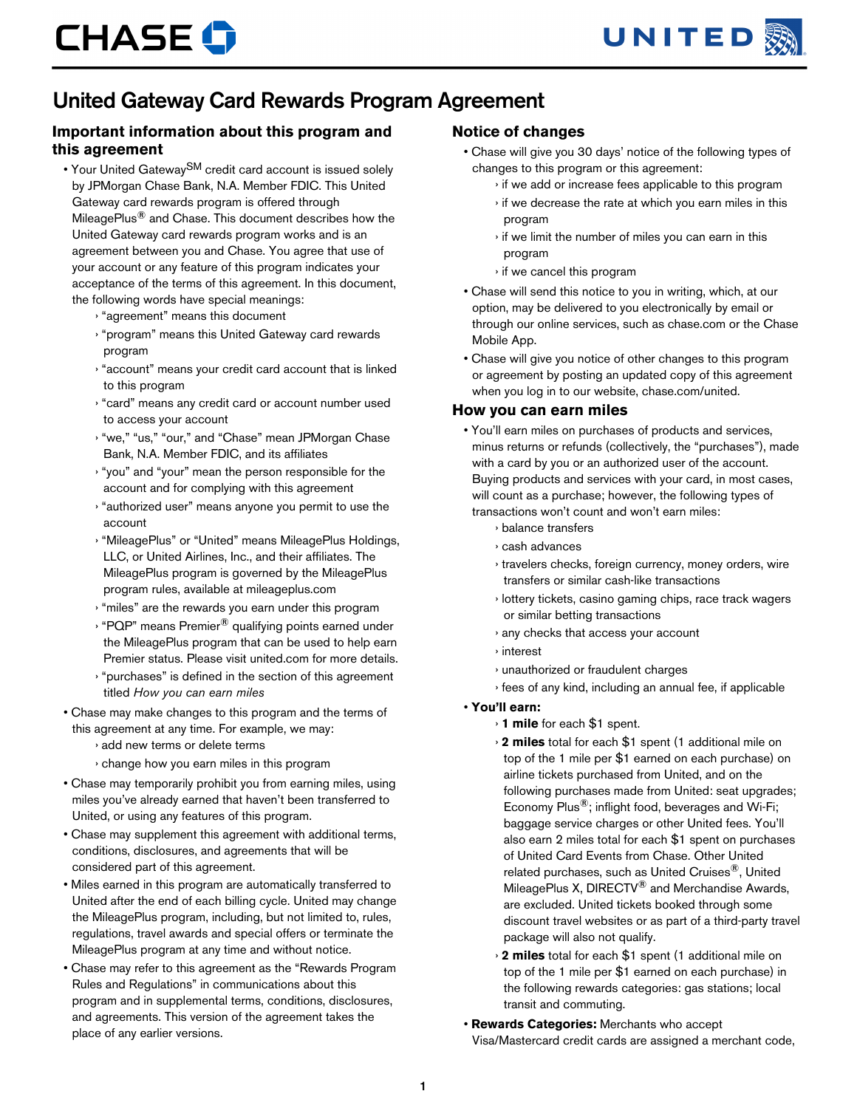

## United Gateway Card Rewards Program Agreement

## **Important information about this program and this agreement**

- Your United Gateway<sup>SM</sup> credit card account is issued solely by JPMorgan Chase Bank, N.A. Member FDIC. This United Gateway card rewards program is offered through MileagePlus® and Chase. This document describes how the United Gateway card rewards program works and is an agreement between you and Chase. You agree that use of your account or any feature of this program indicates your acceptance of the terms of this agreement. In this document, the following words have special meanings:
	- › "agreement" means this document
	- › "program" means this United Gateway card rewards program
	- › "account" means your credit card account that is linked to this program
	- › "card" means any credit card or account number used to access your account
	- › "we," "us," "our," and "Chase" mean JPMorgan Chase Bank, N.A. Member FDIC, and its affiliates
	- › "you" and "your" mean the person responsible for the account and for complying with this agreement
	- › "authorized user" means anyone you permit to use the account
	- › "MileagePlus" or "United" means MileagePlus Holdings, LLC, or United Airlines, Inc., and their affiliates. The MileagePlus program is governed by the MileagePlus program rules, available at mileageplus.com
	- › "miles" are the rewards you earn under this program
	- › "PQP" means Premier® qualifying points earned under the MileagePlus program that can be used to help earn Premier status. Please visit united.com for more details.
	- › "purchases" is defined in the section of this agreement titled *How you can earn miles*
- Chase may make changes to this program and the terms of this agreement at any time. For example, we may:
	- › add new terms or delete terms
	- › change how you earn miles in this program
- Chase may temporarily prohibit you from earning miles, using miles you've already earned that haven't been transferred to United, or using any features of this program.
- Chase may supplement this agreement with additional terms, conditions, disclosures, and agreements that will be considered part of this agreement.
- Miles earned in this program are automatically transferred to United after the end of each billing cycle. United may change the MileagePlus program, including, but not limited to, rules, regulations, travel awards and special offers or terminate the MileagePlus program at any time and without notice.
- Chase may refer to this agreement as the "Rewards Program Rules and Regulations" in communications about this program and in supplemental terms, conditions, disclosures, and agreements. This version of the agreement takes the place of any earlier versions.

## **Notice of changes**

- Chase will give you 30 days' notice of the following types of changes to this program or this agreement:
	- › if we add or increase fees applicable to this program
	- › if we decrease the rate at which you earn miles in this program
	- › if we limit the number of miles you can earn in this program
	- › if we cancel this program
- Chase will send this notice to you in writing, which, at our option, may be delivered to you electronically by email or through our online services, such as chase.com or the Chase Mobile App.
- Chase will give you notice of other changes to this program or agreement by posting an updated copy of this agreement when you log in to our website, chase.com/united.

#### **How you can earn miles**

- You'll earn miles on purchases of products and services, minus returns or refunds (collectively, the "purchases"), made with a card by you or an authorized user of the account. Buying products and services with your card, in most cases, will count as a purchase; however, the following types of transactions won't count and won't earn miles:
	- › balance transfers
	- › cash advances
	- › travelers checks, foreign currency, money orders, wire transfers or similar cash-like transactions
	- › lottery tickets, casino gaming chips, race track wagers or similar betting transactions
	- › any checks that access your account
	- › interest
	- › unauthorized or fraudulent charges
	- › fees of any kind, including an annual fee, if applicable

#### • **You'll earn:**

- › **1 mile** for each \$1 spent.
- › **2 miles** total for each \$1 spent (1 additional mile on top of the 1 mile per \$1 earned on each purchase) on airline tickets purchased from United, and on the following purchases made from United: seat upgrades; Economy Plus®; inflight food, beverages and Wi-Fi; baggage service charges or other United fees. You'll also earn 2 miles total for each \$1 spent on purchases of United Card Events from Chase. Other United related purchases, such as United Cruises®, United MileagePlus X, DIRECTV® and Merchandise Awards, are excluded. United tickets booked through some discount travel websites or as part of a third-party travel package will also not qualify.
- › **2 miles** total for each \$1 spent (1 additional mile on top of the 1 mile per \$1 earned on each purchase) in the following rewards categories: gas stations; local transit and commuting.
- **Rewards Categories:** Merchants who accept Visa/Mastercard credit cards are assigned a merchant code,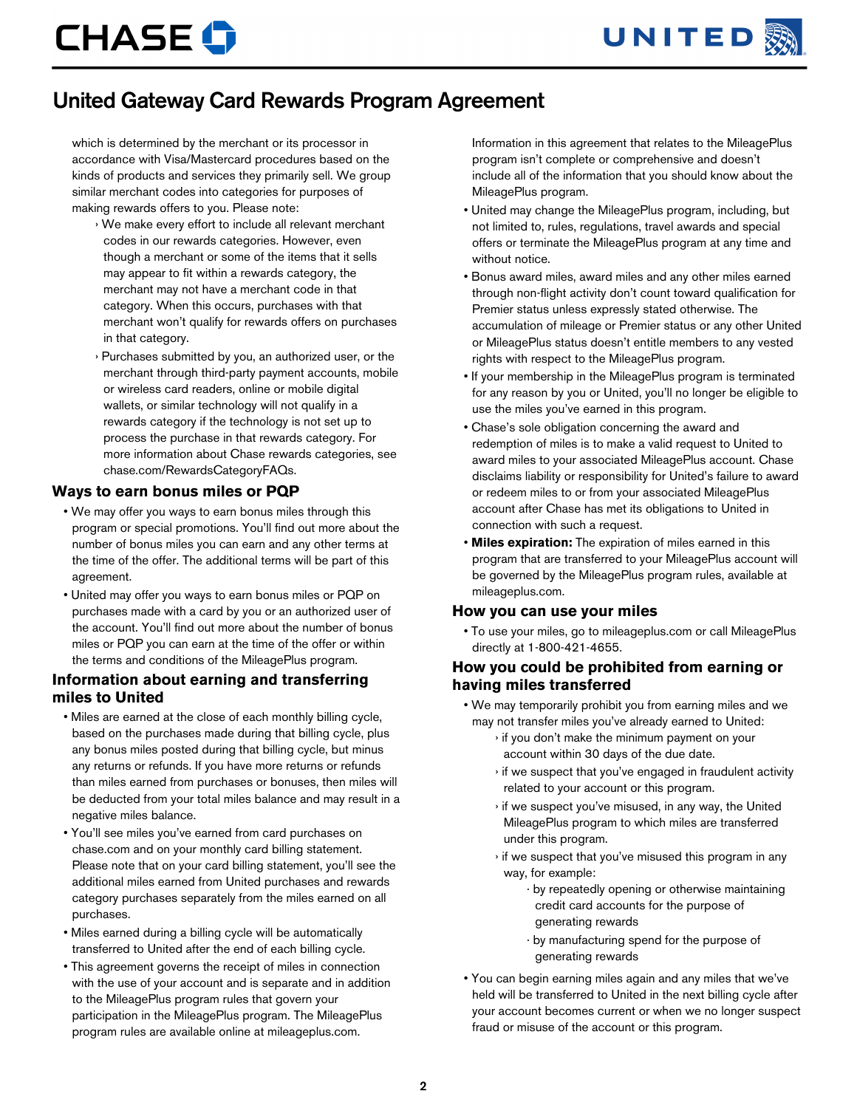

# **CHASE O**

# United Gateway Card Rewards Program Agreement

which is determined by the merchant or its processor in accordance with Visa/Mastercard procedures based on the kinds of products and services they primarily sell. We group similar merchant codes into categories for purposes of making rewards offers to you. Please note:

- › We make every effort to include all relevant merchant codes in our rewards categories. However, even though a merchant or some of the items that it sells may appear to fit within a rewards category, the merchant may not have a merchant code in that category. When this occurs, purchases with that merchant won't qualify for rewards offers on purchases in that category.
- Purchases submitted by you, an authorized user, or the merchant through third-party payment accounts, mobile or wireless card readers, online or mobile digital wallets, or similar technology will not qualify in a rewards category if the technology is not set up to process the purchase in that rewards category. For more information about Chase rewards categories, see chase.com/RewardsCategoryFAQs.

#### **Ways to earn bonus miles or PQP**

- We may offer you ways to earn bonus miles through this program or special promotions. You'll find out more about the number of bonus miles you can earn and any other terms at the time of the offer. The additional terms will be part of this agreement.
- United may offer you ways to earn bonus miles or PQP on purchases made with a card by you or an authorized user of the account. You'll find out more about the number of bonus miles or PQP you can earn at the time of the offer or within the terms and conditions of the MileagePlus program.

#### **Information about earning and transferring miles to United**

- Miles are earned at the close of each monthly billing cycle, based on the purchases made during that billing cycle, plus any bonus miles posted during that billing cycle, but minus any returns or refunds. If you have more returns or refunds than miles earned from purchases or bonuses, then miles will be deducted from your total miles balance and may result in a negative miles balance.
- You'll see miles you've earned from card purchases on chase.com and on your monthly card billing statement. Please note that on your card billing statement, you'll see the additional miles earned from United purchases and rewards category purchases separately from the miles earned on all purchases.
- Miles earned during a billing cycle will be automatically transferred to United after the end of each billing cycle.
- This agreement governs the receipt of miles in connection with the use of your account and is separate and in addition to the MileagePlus program rules that govern your participation in the MileagePlus program. The MileagePlus program rules are available online at mileageplus.com.

Information in this agreement that relates to the MileagePlus program isn't complete or comprehensive and doesn't include all of the information that you should know about the MileagePlus program.

- United may change the MileagePlus program, including, but not limited to, rules, regulations, travel awards and special offers or terminate the MileagePlus program at any time and without notice.
- Bonus award miles, award miles and any other miles earned through non-flight activity don't count toward qualification for Premier status unless expressly stated otherwise. The accumulation of mileage or Premier status or any other United or MileagePlus status doesn't entitle members to any vested rights with respect to the MileagePlus program.
- If your membership in the MileagePlus program is terminated for any reason by you or United, you'll no longer be eligible to use the miles you've earned in this program.
- Chase's sole obligation concerning the award and redemption of miles is to make a valid request to United to award miles to your associated MileagePlus account. Chase disclaims liability or responsibility for United's failure to award or redeem miles to or from your associated MileagePlus account after Chase has met its obligations to United in connection with such a request.
- **Miles expiration:** The expiration of miles earned in this program that are transferred to your MileagePlus account will be governed by the MileagePlus program rules, available at mileageplus.com.

#### **How you can use your miles**

• To use your miles, go to mileageplus.com or call MileagePlus directly at 1-800-421-4655.

#### **How you could be prohibited from earning or having miles transferred**

- We may temporarily prohibit you from earning miles and we may not transfer miles you've already earned to United:
	- › if you don't make the minimum payment on your account within 30 days of the due date.
	- › if we suspect that you've engaged in fraudulent activity related to your account or this program.
	- › if we suspect you've misused, in any way, the United MileagePlus program to which miles are transferred under this program.
	- › if we suspect that you've misused this program in any way, for example:
		- · by repeatedly opening or otherwise maintaining credit card accounts for the purpose of generating rewards
		- · by manufacturing spend for the purpose of generating rewards
- You can begin earning miles again and any miles that we've held will be transferred to United in the next billing cycle after your account becomes current or when we no longer suspect fraud or misuse of the account or this program.